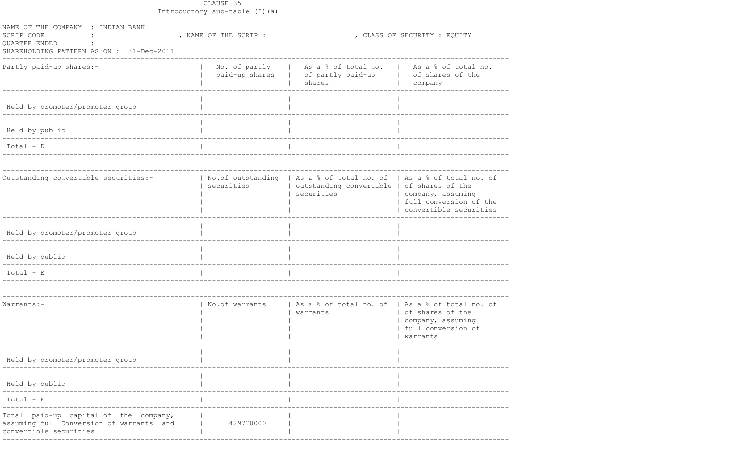CLAUSE 35 Introductory sub-table (I) (a)

| NAME OF THE COMPANY : INDIAN BANK<br>SCRIP CODE<br>QUARTER ENDED<br>$\ddot{\cdot}$<br>SHAREHOLDING PATTERN AS ON : 31-Dec-2011 | , NAME OF THE SCRIP :           |                                                                                                                                 | , CLASS OF SECURITY : EQUITY                                            |
|--------------------------------------------------------------------------------------------------------------------------------|---------------------------------|---------------------------------------------------------------------------------------------------------------------------------|-------------------------------------------------------------------------|
| Partly paid-up shares:-                                                                                                        | No. of partly<br>paid-up shares | As a % of total no.<br>of partly paid-up<br>shares                                                                              | As a % of total no.<br>of shares of the<br>company                      |
| Held by promoter/promoter group                                                                                                |                                 |                                                                                                                                 |                                                                         |
| Held by public                                                                                                                 |                                 |                                                                                                                                 |                                                                         |
| $Total - D$                                                                                                                    |                                 |                                                                                                                                 |                                                                         |
| Outstanding convertible securities:-                                                                                           | securities                      | No.of outstanding   As a % of total no. of   As a % of total no. of<br>outstanding convertible   of shares of the<br>securities | company, assuming<br>full conversion of the<br>convertible securities   |
| Held by promoter/promoter group                                                                                                |                                 |                                                                                                                                 |                                                                         |
| Held by public                                                                                                                 |                                 |                                                                                                                                 |                                                                         |
| $Total - E$                                                                                                                    |                                 |                                                                                                                                 |                                                                         |
| Warrants:-                                                                                                                     | No.of warrants                  | As a % of total no. of   As a % of total no. of<br>warrants                                                                     | of shares of the<br>company, assuming<br>full conversion of<br>warrants |
| Held by promoter/promoter group                                                                                                |                                 |                                                                                                                                 |                                                                         |
| Held by public                                                                                                                 |                                 |                                                                                                                                 |                                                                         |
| $Total - F$                                                                                                                    |                                 |                                                                                                                                 |                                                                         |
| Total paid-up capital of the company,<br>assuming full Conversion of warrants and<br>convertible securities                    | 429770000                       |                                                                                                                                 |                                                                         |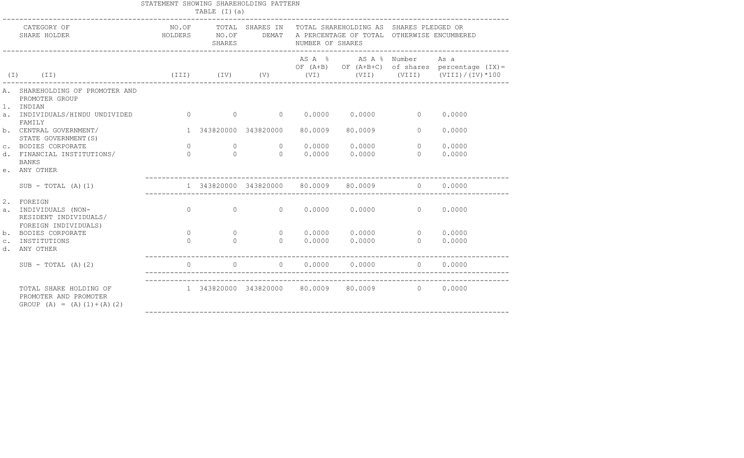| NO.OF TOTAL SHARES IN TOTAL SHAREHOLDING AS SHARES PLEDGED OR<br>CATEGORY OF<br>HOLDERS NO.OF DEMAT A PERCENTAGE OF TOTAL OTHERWISE ENCUMBERED<br>SHARE HOLDER<br>SHARES<br>NUMBER OF SHARES<br>AS A % AS A % Number As a<br>OF $(A+B)$ OF $(A+B+C)$ of shares percentage $(IX)$ =<br>(III) (IV) (V) (VI) (VIII) (VIII) (VIII) (VIII) (VIII) (VIII) (VIII) (VIII) (VIII) (VIII) (VIII) (VIII) (VIII) (VIII) (VIII) (VIII) (VIII) (VIII) (VIII) (VIII) (VIII) (VIII) (VIII) (VIII) (VIII) (VIII) (VIII) (VIII) (VIII<br>$(I)$ $(II)$<br>A. SHAREHOLDING OF PROMOTER AND<br>PROMOTER GROUP<br>1. INDIAN<br>$0$ 0 0 0.0000 0.0000 0 0.0000<br>a. INDIVIDUALS/HINDU UNDIVIDED<br>FAMILY<br>b. CENTRAL GOVERNMENT/<br>1 343820000 343820000<br>80.0009<br>80.0009<br>$\Omega$<br>0.0000<br>STATE GOVERNMENT (S)<br>$0.0000$ 0<br>$0 \t 0 \t 0 \t 0 \t 0.0000$<br>0.0000<br>C. BODIES CORPORATE<br>$\begin{array}{ccc} 0 & 0 & 0 \end{array}$<br>$0 \t 0.0000 \t 0.0000 \t 0$<br>0.0000<br>d. FINANCIAL INSTITUTIONS/<br><b>BANKS</b><br>e. ANY OTHER<br>$1$ 343820000 343820000 80.0009 80.0009 0<br>0.0000<br>SUB - TOTAL (A)(1)<br>2. FOREIGN<br>$\Omega$<br>$\Omega$<br>$0 \t 0.0000 \t 0.0000 \t 0 \t 0.0000$<br>a. INDIVIDUALS (NON-<br>RESIDENT INDIVIDUALS/<br>FOREIGN INDIVIDUALS)<br>$0 \t 0.0000 \t 0.0000 \t 0 \t 0.0000$<br>$\Omega$<br>$\Omega$<br>b. BODIES CORPORATE<br>$\bigcap$<br>$0 \t 0.0000 \t 0.0000 \t 0 \t 0.0000$<br>$\Omega$<br>INSTITUTIONS<br>$\mathtt{C}$ .<br>d. ANY OTHER<br>$\bigcap$<br>$\bigcirc$<br>$0 \t 0.0000 \t 0.0000$ 0<br>0.0000<br>$SUB - TOTAL (A) (2)$<br>$1$ 343820000 343820000 80.0009 80.0009 0 0.0000<br>TOTAL SHARE HOLDING OF<br>PROMOTER AND PROMOTER |                                 | STATEMENT SHOWING SHAREHOLDING PATTERN | TABLE (I)(a) |  |  |  |
|-------------------------------------------------------------------------------------------------------------------------------------------------------------------------------------------------------------------------------------------------------------------------------------------------------------------------------------------------------------------------------------------------------------------------------------------------------------------------------------------------------------------------------------------------------------------------------------------------------------------------------------------------------------------------------------------------------------------------------------------------------------------------------------------------------------------------------------------------------------------------------------------------------------------------------------------------------------------------------------------------------------------------------------------------------------------------------------------------------------------------------------------------------------------------------------------------------------------------------------------------------------------------------------------------------------------------------------------------------------------------------------------------------------------------------------------------------------------------------------------------------------------------------------------------------------------------------------------------------------------------------------------------------------------------------------------------------|---------------------------------|----------------------------------------|--------------|--|--|--|
|                                                                                                                                                                                                                                                                                                                                                                                                                                                                                                                                                                                                                                                                                                                                                                                                                                                                                                                                                                                                                                                                                                                                                                                                                                                                                                                                                                                                                                                                                                                                                                                                                                                                                                       |                                 |                                        |              |  |  |  |
|                                                                                                                                                                                                                                                                                                                                                                                                                                                                                                                                                                                                                                                                                                                                                                                                                                                                                                                                                                                                                                                                                                                                                                                                                                                                                                                                                                                                                                                                                                                                                                                                                                                                                                       |                                 |                                        |              |  |  |  |
|                                                                                                                                                                                                                                                                                                                                                                                                                                                                                                                                                                                                                                                                                                                                                                                                                                                                                                                                                                                                                                                                                                                                                                                                                                                                                                                                                                                                                                                                                                                                                                                                                                                                                                       |                                 |                                        |              |  |  |  |
|                                                                                                                                                                                                                                                                                                                                                                                                                                                                                                                                                                                                                                                                                                                                                                                                                                                                                                                                                                                                                                                                                                                                                                                                                                                                                                                                                                                                                                                                                                                                                                                                                                                                                                       |                                 |                                        |              |  |  |  |
|                                                                                                                                                                                                                                                                                                                                                                                                                                                                                                                                                                                                                                                                                                                                                                                                                                                                                                                                                                                                                                                                                                                                                                                                                                                                                                                                                                                                                                                                                                                                                                                                                                                                                                       |                                 |                                        |              |  |  |  |
|                                                                                                                                                                                                                                                                                                                                                                                                                                                                                                                                                                                                                                                                                                                                                                                                                                                                                                                                                                                                                                                                                                                                                                                                                                                                                                                                                                                                                                                                                                                                                                                                                                                                                                       |                                 |                                        |              |  |  |  |
|                                                                                                                                                                                                                                                                                                                                                                                                                                                                                                                                                                                                                                                                                                                                                                                                                                                                                                                                                                                                                                                                                                                                                                                                                                                                                                                                                                                                                                                                                                                                                                                                                                                                                                       |                                 |                                        |              |  |  |  |
|                                                                                                                                                                                                                                                                                                                                                                                                                                                                                                                                                                                                                                                                                                                                                                                                                                                                                                                                                                                                                                                                                                                                                                                                                                                                                                                                                                                                                                                                                                                                                                                                                                                                                                       |                                 |                                        |              |  |  |  |
|                                                                                                                                                                                                                                                                                                                                                                                                                                                                                                                                                                                                                                                                                                                                                                                                                                                                                                                                                                                                                                                                                                                                                                                                                                                                                                                                                                                                                                                                                                                                                                                                                                                                                                       |                                 |                                        |              |  |  |  |
|                                                                                                                                                                                                                                                                                                                                                                                                                                                                                                                                                                                                                                                                                                                                                                                                                                                                                                                                                                                                                                                                                                                                                                                                                                                                                                                                                                                                                                                                                                                                                                                                                                                                                                       |                                 |                                        |              |  |  |  |
|                                                                                                                                                                                                                                                                                                                                                                                                                                                                                                                                                                                                                                                                                                                                                                                                                                                                                                                                                                                                                                                                                                                                                                                                                                                                                                                                                                                                                                                                                                                                                                                                                                                                                                       |                                 |                                        |              |  |  |  |
|                                                                                                                                                                                                                                                                                                                                                                                                                                                                                                                                                                                                                                                                                                                                                                                                                                                                                                                                                                                                                                                                                                                                                                                                                                                                                                                                                                                                                                                                                                                                                                                                                                                                                                       |                                 |                                        |              |  |  |  |
|                                                                                                                                                                                                                                                                                                                                                                                                                                                                                                                                                                                                                                                                                                                                                                                                                                                                                                                                                                                                                                                                                                                                                                                                                                                                                                                                                                                                                                                                                                                                                                                                                                                                                                       | GROUP (A) = $(A) (1) + (A) (2)$ |                                        |              |  |  |  |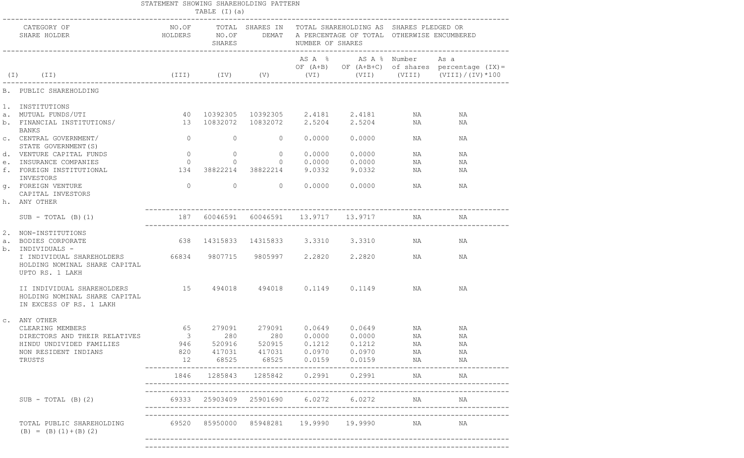|                |                                                                                                                   | STATEMENT SHOWING SHAREHOLDING PATTERN | TABLE (I)(a)     |                                         |                          |                                                                                                                                                                                  |              |                                                                                                                              |
|----------------|-------------------------------------------------------------------------------------------------------------------|----------------------------------------|------------------|-----------------------------------------|--------------------------|----------------------------------------------------------------------------------------------------------------------------------------------------------------------------------|--------------|------------------------------------------------------------------------------------------------------------------------------|
|                | _______________________________<br>CATEGORY OF<br>SHARE HOLDER                                                    |                                        | SHARES           |                                         | NUMBER OF SHARES         | ------------------------------------<br>NO.OF      TOTAL  SHARES IN   TOTAL SHAREHOLDING AS  SHARES PLEDGED OR<br>HOLDERS NO.OF DEMAT A PERCENTAGE OF TOTAL OTHERWISE ENCUMBERED |              |                                                                                                                              |
| (I)            | (TI)                                                                                                              |                                        |                  |                                         |                          | ASA % ASA % Number Asa                                                                                                                                                           |              | OF $(A+B)$ OF $(A+B+C)$ of shares percentage $(IX)$ =<br>(III) (IV) (V) (VI) (VII) (VIII) (VIII) (VIII) (VIII) (VIII) (VIII) |
|                | B. PUBLIC SHAREHOLDING                                                                                            |                                        |                  |                                         |                          |                                                                                                                                                                                  |              |                                                                                                                              |
|                | 1. INSTITUTIONS                                                                                                   |                                        |                  |                                         |                          |                                                                                                                                                                                  |              |                                                                                                                              |
|                | a. MUTUAL FUNDS/UTI                                                                                               |                                        |                  |                                         |                          | 40  10392305  10392305  2.4181  2.4181                                                                                                                                           | NA           | NA                                                                                                                           |
|                | b. FINANCIAL INSTITUTIONS/<br>BANKS                                                                               |                                        |                  |                                         |                          | 13 10832072 10832072 2.5204 2.5204                                                                                                                                               | NA           | ΝA                                                                                                                           |
|                | C. CENTRAL GOVERNMENT/<br>STATE GOVERNMENT (S)                                                                    | $\overline{0}$                         | $\sim$ 0         | $\overline{0}$                          |                          | 0.00000000000                                                                                                                                                                    | NA           | ΝA                                                                                                                           |
|                | d. VENTURE CAPITAL FUNDS                                                                                          |                                        | $\overline{0}$ 0 | $\overline{0}$                          | 0.0000                   | 0.0000                                                                                                                                                                           | NA           | ΝA                                                                                                                           |
|                | e. INSURANCE COMPANIES                                                                                            |                                        |                  | $\begin{matrix} 0 & 0 & 0 \end{matrix}$ |                          | $0.0000$ $0.0000$                                                                                                                                                                | NA           | NA                                                                                                                           |
|                | f. FOREIGN INSTITUTIONAL                                                                                          |                                        |                  | 134 38822214 38822214                   | 9.0332                   | 9.0332                                                                                                                                                                           | NA           | ΝA                                                                                                                           |
|                | INVESTORS<br>g. FOREIGN VENTURE                                                                                   | $\bigcirc$                             |                  |                                         |                          |                                                                                                                                                                                  | NA           | ΝA                                                                                                                           |
|                | CAPITAL INVESTORS                                                                                                 |                                        |                  |                                         |                          |                                                                                                                                                                                  |              |                                                                                                                              |
|                | h. ANY OTHER                                                                                                      |                                        |                  |                                         |                          |                                                                                                                                                                                  |              |                                                                                                                              |
|                | $SUB - TOTAL (B) (1)$                                                                                             |                                        |                  | 187 60046591 60046591 13.9717 13.9717   |                          |                                                                                                                                                                                  | NA           | NA                                                                                                                           |
|                | 2. NON-INSTITUTIONS                                                                                               |                                        |                  |                                         |                          |                                                                                                                                                                                  |              |                                                                                                                              |
|                | a. BODIES CORPORATE                                                                                               |                                        |                  |                                         |                          | 638 14315833 14315833 3.3310 3.3310                                                                                                                                              |              | NA<br>NA                                                                                                                     |
|                | b. INDIVIDUALS -                                                                                                  |                                        |                  |                                         |                          |                                                                                                                                                                                  |              |                                                                                                                              |
|                | I INDIVIDUAL SHAREHOLDERS 66834 9807715 9805997 2.2820 2.2820<br>HOLDING NOMINAL SHARE CAPITAL<br>UPTO RS. 1 LAKH |                                        |                  |                                         |                          |                                                                                                                                                                                  | NA <b>NA</b> | ΝA                                                                                                                           |
|                | II INDIVIDUAL SHAREHOLDERS<br>HOLDING NOMINAL SHARE CAPITAL<br>IN EXCESS OF RS. 1 LAKH                            |                                        |                  |                                         |                          | 15 494018 494018 0.1149 0.1149 NA                                                                                                                                                |              | NA                                                                                                                           |
| $\mathsf{C}$ . | ANY OTHER                                                                                                         |                                        |                  |                                         |                          |                                                                                                                                                                                  |              |                                                                                                                              |
|                | CLEARING MEMBERS                                                                                                  | 65                                     |                  | 279091 279091                           | 0.0649                   | 0.0649                                                                                                                                                                           | NA           | ΝA                                                                                                                           |
|                | DIRECTORS AND THEIR RELATIVES                                                                                     | $\overline{\mathbf{3}}$                | 280              | 280                                     | 0.0000                   | 0.0000                                                                                                                                                                           | NA           | ΝA                                                                                                                           |
|                | HINDU UNDIVIDED FAMILIES                                                                                          | 946                                    | 520916           | 520915                                  | 0.1212                   | 0.1212                                                                                                                                                                           | NA           | ΝA                                                                                                                           |
|                | NON RESIDENT INDIANS                                                                                              | 820                                    | 417031           | 68525                                   | 417031   0.0970   0.0970 |                                                                                                                                                                                  | NA           | ΝA                                                                                                                           |
|                | TRUSTS                                                                                                            | 12                                     | 68525            |                                         | 0.0159                   | 0.0159                                                                                                                                                                           | NA           | ΝA                                                                                                                           |
|                |                                                                                                                   | 1846                                   |                  | 1285843  1285842  0.2991                |                          | 0.2991                                                                                                                                                                           | NA           | NA                                                                                                                           |
|                | $SUB - TOTAL (B) (2)$                                                                                             |                                        |                  | 69333 25903409 25901690 6.0272          |                          | 6.0272                                                                                                                                                                           | NA           | NA                                                                                                                           |
|                | TOTAL PUBLIC SHAREHOLDING                                                                                         |                                        |                  | 69520 85950000 85948281 19.9990 19.9990 |                          |                                                                                                                                                                                  | NA           | ΝA                                                                                                                           |
|                | $(B) = (B) (1) + (B) (2)$                                                                                         |                                        |                  |                                         |                          |                                                                                                                                                                                  |              |                                                                                                                              |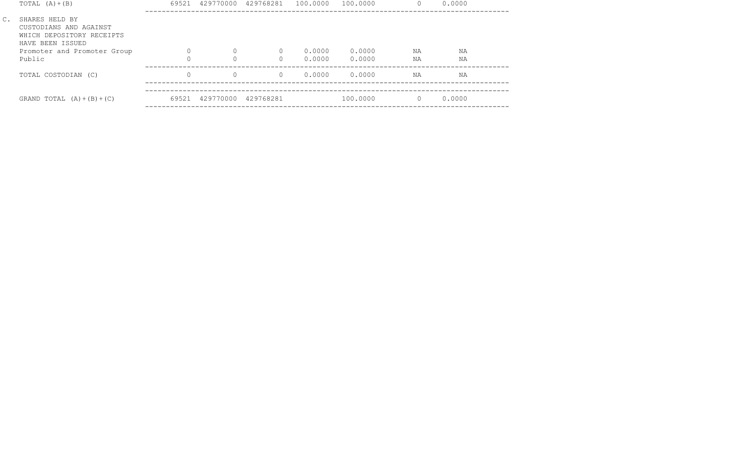|                | TOTAL $(A) + (B)$                                                                         | 69521    | 429770000 | 429768281 | 100,0000 | 100,0000 | $\left( \right)$ | 0.0000 |  |
|----------------|-------------------------------------------------------------------------------------------|----------|-----------|-----------|----------|----------|------------------|--------|--|
| $\mathbb{C}$ . | SHARES HELD BY<br>CUSTODIANS AND AGAINST<br>WHICH DEPOSITORY RECEIPTS<br>HAVE BEEN ISSUED |          |           |           |          |          |                  |        |  |
|                | Promoter and Promoter Group                                                               |          |           |           | 0.0000   | 0.0000   | NA               | ΝA     |  |
|                | Public                                                                                    | $\Omega$ |           |           | 0.0000   | 0.0000   | NA               | ΝA     |  |
|                | TOTAL COSTODIAN (C)                                                                       | $\Omega$ |           | $\Omega$  | 0.0000   | 0.0000   | NA               | ΝA     |  |
|                | GRAND TOTAL $(A) + (B) + (C)$                                                             | 69521    | 429770000 | 429768281 |          | 100,0000 | 0                | 0.0000 |  |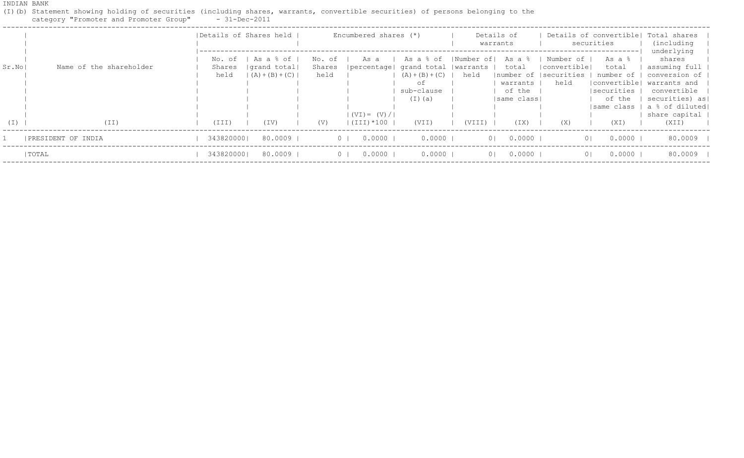(I)(b) Statement showing holding of securities (including shares, warrants, convertible securities) of persons belonging to the category "Promoter and Promoter Group" - 31-Dec-2011

|       |                            |            | Details of Shares held                               |      | Encumbered shares (*)                                |                         |        | Details of<br>warrants |                | securities                                           | Details of convertible  Total shares  <br>(including                                                            |
|-------|----------------------------|------------|------------------------------------------------------|------|------------------------------------------------------|-------------------------|--------|------------------------|----------------|------------------------------------------------------|-----------------------------------------------------------------------------------------------------------------|
| Sr.No | Name of the shareholder    | Shares     | No. of $ $ As a $\frac{1}{6}$ of $ $<br> qrand total |      | Shares   percentage   grand total   warrants   total |                         |        |                        | convertible    | total                                                | underlying  <br>No. of   As a   As a % of   Number of   As a %   Number of   As a %   shares  <br>assuming full |
|       |                            | held       | $(A) + (B) + (C)$                                    | held |                                                      | $(A) + (B) + (C)$<br>оf | held   | warrants               | held           | Inumber of Isecurities I number of I<br> convertible | conversion of  <br>warrants and                                                                                 |
|       |                            |            |                                                      |      |                                                      | sub-clause<br>(I)(a)    |        | of the<br>Isame class! |                | securities                                           | convertible  <br>of the   securities) as                                                                        |
|       |                            |            |                                                      |      | $(VI) = (V)/ $                                       |                         |        |                        |                |                                                      | Isame class   a % of diluted <br>share capital                                                                  |
| (I)   | (TI)                       | (III)      | (TV)                                                 | (V)  | $ (III)*100 $                                        | (VII)                   | (VIII) | (TX)                   | (X)            | (XI)                                                 | (XII)                                                                                                           |
|       | <b>IPRESIDENT OF INDIA</b> | 3438200001 | 80.0009                                              |      | $0 \mid 0.0000 \mid$                                 | $0.0000$ I              |        | 010.00001              |                | $0.0000$ I<br>$\overline{0}$                         | 80.0009                                                                                                         |
|       | TOTAL                      | 3438200001 | 80.0009                                              |      | $0.0000$ I<br>$\overline{0}$                         | $0.0000$                |        | 01 0.0000 1            | $\overline{0}$ | $0.0000$                                             | 80.0009                                                                                                         |
|       |                            |            |                                                      |      |                                                      |                         |        |                        |                |                                                      |                                                                                                                 |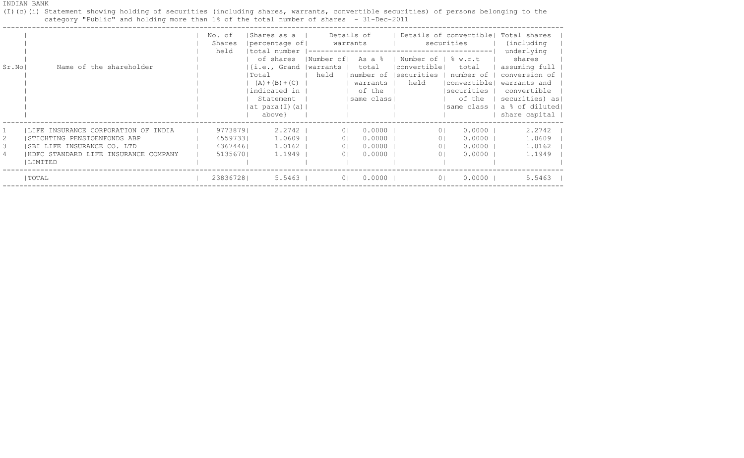(I)(c)(i) Statement showing holding of securities (including shares, warrants, convertible securities) of persons belonging to the category "Public" and holding more than 1% of the total number of shares - 31-Dec-2011

| Name of the shareholder | No. of<br>Shares<br>held                                                                                                                  | Shares as a   Details of   Details of convertible  Total shares<br>percentage of warrants<br>of shares<br>$ i.e.,$ Grand  warrants  <br> Total |                                                           | total                                                                                           | securities<br>convertible total                                                        | Number of   As a %   Number of   % w.r.t   shares                                | (including)                                                                       |
|-------------------------|-------------------------------------------------------------------------------------------------------------------------------------------|------------------------------------------------------------------------------------------------------------------------------------------------|-----------------------------------------------------------|-------------------------------------------------------------------------------------------------|----------------------------------------------------------------------------------------|----------------------------------------------------------------------------------|-----------------------------------------------------------------------------------|
|                         |                                                                                                                                           |                                                                                                                                                |                                                           |                                                                                                 |                                                                                        |                                                                                  |                                                                                   |
|                         |                                                                                                                                           |                                                                                                                                                |                                                           |                                                                                                 |                                                                                        |                                                                                  |                                                                                   |
|                         |                                                                                                                                           |                                                                                                                                                |                                                           |                                                                                                 |                                                                                        |                                                                                  |                                                                                   |
|                         |                                                                                                                                           |                                                                                                                                                |                                                           |                                                                                                 |                                                                                        |                                                                                  |                                                                                   |
|                         |                                                                                                                                           |                                                                                                                                                |                                                           |                                                                                                 |                                                                                        |                                                                                  | assuming full                                                                     |
|                         |                                                                                                                                           |                                                                                                                                                | held                                                      |                                                                                                 |                                                                                        | number of  securities   number of                                                | conversion of                                                                     |
|                         |                                                                                                                                           | $(A) + (B) + (C)$                                                                                                                              |                                                           | warrants                                                                                        | held                                                                                   | convertible                                                                      | warrants and                                                                      |
|                         |                                                                                                                                           | indicated in                                                                                                                                   |                                                           | $ $ of the $ $                                                                                  |                                                                                        |                                                                                  | securities   convertible                                                          |
|                         |                                                                                                                                           |                                                                                                                                                |                                                           |                                                                                                 |                                                                                        | of the I                                                                         | securities) as                                                                    |
|                         |                                                                                                                                           |                                                                                                                                                |                                                           |                                                                                                 |                                                                                        |                                                                                  | Isame class   a % of diluted                                                      |
|                         |                                                                                                                                           | above}                                                                                                                                         |                                                           |                                                                                                 |                                                                                        |                                                                                  | share capital                                                                     |
|                         |                                                                                                                                           |                                                                                                                                                |                                                           |                                                                                                 |                                                                                        | $0.0000$ 1                                                                       | 2.2742                                                                            |
|                         |                                                                                                                                           |                                                                                                                                                |                                                           |                                                                                                 |                                                                                        | $0.0000$                                                                         | 1.0609                                                                            |
|                         |                                                                                                                                           |                                                                                                                                                |                                                           |                                                                                                 |                                                                                        | $0.0000$                                                                         | 1.0162                                                                            |
|                         |                                                                                                                                           |                                                                                                                                                |                                                           |                                                                                                 |                                                                                        | $0.0000$                                                                         | 1.1949                                                                            |
|                         |                                                                                                                                           |                                                                                                                                                |                                                           |                                                                                                 |                                                                                        |                                                                                  |                                                                                   |
|                         |                                                                                                                                           |                                                                                                                                                |                                                           |                                                                                                 |                                                                                        | $0.0000$                                                                         | $5.5463$                                                                          |
|                         | LIFE INSURANCE CORPORATION OF INDIA<br>STICHTING PENSIOENFONDS ABP<br>ISBI LIFE INSURANCE CO. LTD<br>HDFC STANDARD LIFE INSURANCE COMPANY |                                                                                                                                                | 97738791<br>45597331<br>43674461<br>51356701<br>238367281 | Statement  <br> at para(I) (a) <br>$2.2742$  <br>1.0609  <br>$1.0162$  <br>1.1949  <br>$5.5463$ | 0 <sup>1</sup><br>0 <sup>1</sup><br>0 <sup>1</sup><br>0 <sup>1</sup><br>0 <sup>1</sup> | Isame class!<br>$0.0000$  <br>$0.0000$  <br>$0.0000$  <br>$0.0000$  <br>$0.0000$ | 0 <sup>1</sup><br>0 <sup>1</sup><br>0 <sup>1</sup><br>$\bigcap$<br>0 <sub>1</sub> |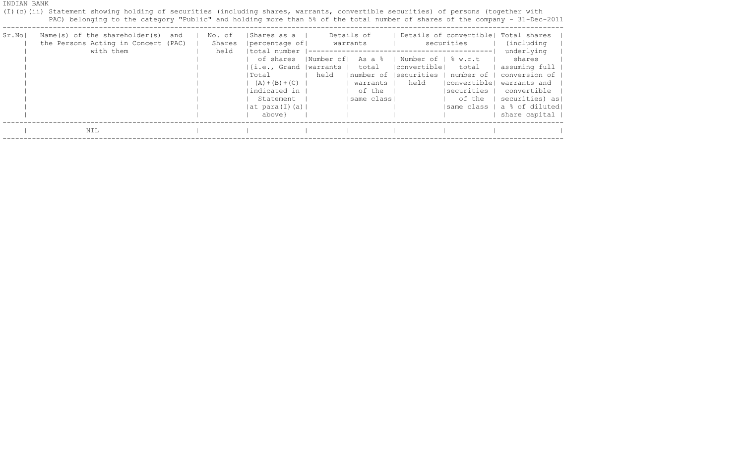(I)(c)(ii) Statement showing holding of securities (including shares, warrants, convertible securities) of persons (together with PAC) belonging to the category "Public" and holding more than 5% of the total number of shares of the company - 31-Dec-2011 --------------------------------------------------------------------------------------------------------------------------------------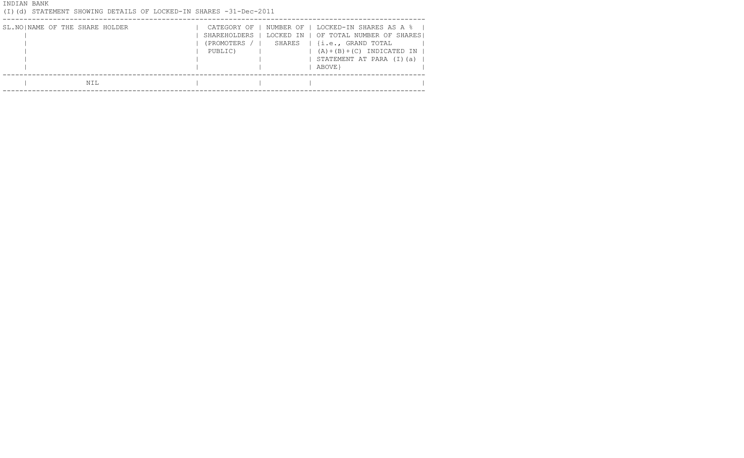## (I)(d) STATEMENT SHOWING DETAILS OF LOCKED-IN SHARES -31-Dec-2011

| SL.NO NAME OF THE SHARE HOLDER | NUMBER OF   LOCKED-IN SHARES AS A %  <br>CATEGORY OF  <br>SHAREHOLDERS  <br>LOCKED IN   OF TOTAL NUMBER OF SHARES <br>(PROMOTERS /  <br>SHARES   {i.e., GRAND TOTAL<br>$(A)+(B)+(C)$ INDICATED IN  <br>PUBLIC)<br>STATEMENT AT PARA (I)(a)  <br>ABOVE } |  |
|--------------------------------|---------------------------------------------------------------------------------------------------------------------------------------------------------------------------------------------------------------------------------------------------------|--|
| NIL                            |                                                                                                                                                                                                                                                         |  |
|                                |                                                                                                                                                                                                                                                         |  |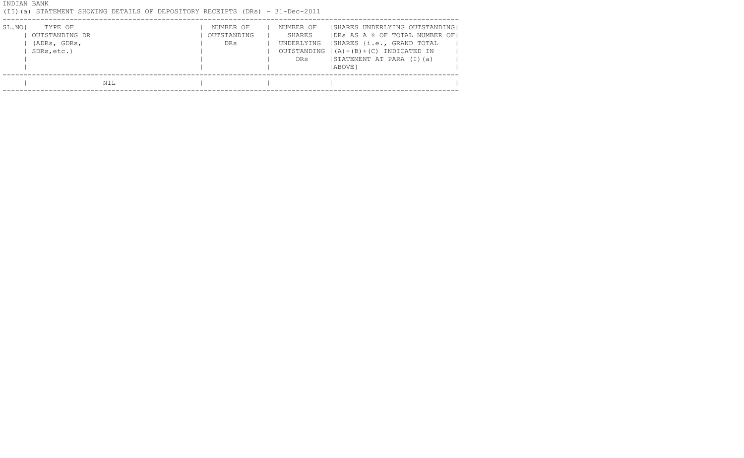| INDIAN BANK<br>$(II)$ (a)                                          |     | STATEMENT SHOWING DETAILS OF DEPOSITORY RECEIPTS (DRs) - 31-Dec-2011 |                                                         |                                                                                                                                                                            |  |
|--------------------------------------------------------------------|-----|----------------------------------------------------------------------|---------------------------------------------------------|----------------------------------------------------------------------------------------------------------------------------------------------------------------------------|--|
| SL.NOI<br>TYPE OF<br>OUTSTANDING DR<br>(ADRs, GDRs,<br>SDRs, etc.) |     | NUMBER OF<br>OUTSTANDING<br><b>DRs</b>                               | NUMBER OF<br>SHARES<br>UNDERLYING<br>OUTSTANDING<br>DRs | SHARES UNDERLYING OUTSTANDING<br>IDRs AS A % OF TOTAL NUMBER OF!<br> SHARES {i.e., GRAND TOTAL<br>$(A) + (B) + (C)$ INDICATED IN<br> STATEMENT AT PARA (I)(a)<br>  ABOVE } |  |
|                                                                    | NIL |                                                                      |                                                         |                                                                                                                                                                            |  |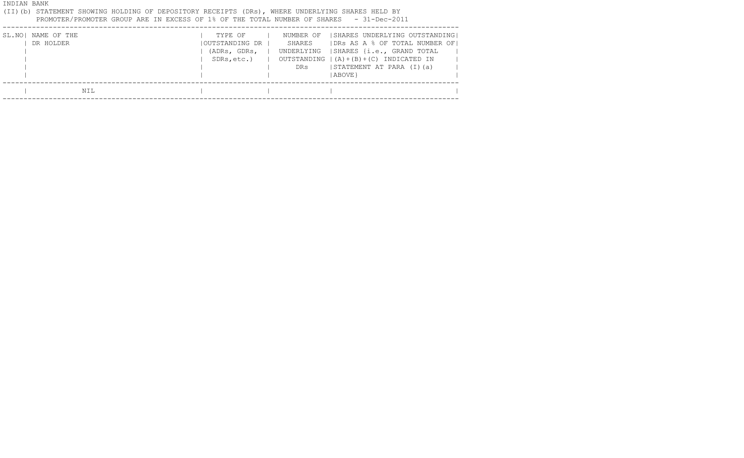## (II)(b) STATEMENT SHOWING HOLDING OF DEPOSITORY RECEIPTS (DRs), WHERE UNDERLYING SHARES HELD BY PROMOTER/PROMOTER GROUP ARE IN EXCESS OF 1% OF THE TOTAL NUMBER OF SHARES - 31-Dec-2011

| SL.NOI | NAME OF THE<br>DR HOLDER | TYPE OF<br>OUTSTANDING DR<br>(ADRs, GDRs,<br>SDRs, etc.) | NUMBER OF<br>SHARES<br>UNDERLYING<br>DRs. | SHARES UNDERLYING OUTSTANDING<br>IDRS AS A % OF TOTAL NUMBER OF!<br>SHARES {i.e., GRAND TOTAL<br>OUTSTANDING $ (A)+(B)+(C)$ INDICATED IN<br>STATEMENT AT PARA (I)(a)<br>IABOVE} |
|--------|--------------------------|----------------------------------------------------------|-------------------------------------------|---------------------------------------------------------------------------------------------------------------------------------------------------------------------------------|
|        | NIL                      |                                                          |                                           |                                                                                                                                                                                 |
|        |                          |                                                          |                                           |                                                                                                                                                                                 |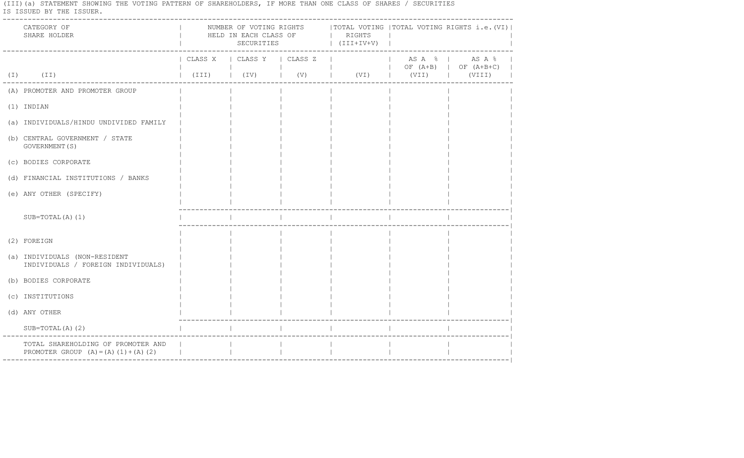(III)(a) STATEMENT SHOWING THE VOTING PATTERN OF SHAREHOLDERS, IF MORE THAN ONE CLASS OF SHARES / SECURITIES IS ISSUED BY THE ISSUER.

| CATEGORY OF<br>SHARE HOLDER                                                    | NUMBER OF VOTING RIGHTS     TOTAL VOTING   TOTAL VOTING RIGHTS i.e. (VI)  <br>HELD IN EACH CLASS OF   RIGHTS<br>SECURITIES |                          | $ \quad (JIT+IV+V)$ |  |                      |                                            |
|--------------------------------------------------------------------------------|----------------------------------------------------------------------------------------------------------------------------|--------------------------|---------------------|--|----------------------|--------------------------------------------|
|                                                                                | CLASS X   CLASS Y   CLASS Z                                                                                                |                          |                     |  |                      |                                            |
| $(I)$ $(II)$                                                                   |                                                                                                                            | <b>Contract Contract</b> | <b>The Common</b>   |  | $ $ (VII) $ $ (VIII) | $ \text{OF } (A+B)   \text{OF } (A+B+C)  $ |
| (A) PROMOTER AND PROMOTER GROUP                                                |                                                                                                                            |                          |                     |  |                      |                                            |
| $(1)$ INDIAN                                                                   |                                                                                                                            |                          |                     |  |                      |                                            |
| (a) INDIVIDUALS/HINDU UNDIVIDED FAMILY                                         |                                                                                                                            |                          |                     |  |                      |                                            |
| (b) CENTRAL GOVERNMENT / STATE<br>GOVERNMENT (S)                               |                                                                                                                            |                          |                     |  |                      |                                            |
| (c) BODIES CORPORATE                                                           |                                                                                                                            |                          |                     |  |                      |                                            |
| (d) FINANCIAL INSTITUTIONS / BANKS                                             |                                                                                                                            |                          |                     |  |                      |                                            |
| (e) ANY OTHER (SPECIFY)                                                        |                                                                                                                            |                          |                     |  |                      |                                            |
| $SUB=TOTAL(A) (1)$                                                             |                                                                                                                            |                          |                     |  |                      |                                            |
| (2) FOREIGN                                                                    |                                                                                                                            |                          |                     |  |                      |                                            |
| (a) INDIVIDUALS (NON-RESIDENT<br>INDIVIDUALS / FOREIGN INDIVIDUALS)            |                                                                                                                            |                          |                     |  |                      |                                            |
| (b) BODIES CORPORATE                                                           |                                                                                                                            |                          |                     |  |                      |                                            |
| (c) INSTITUTIONS                                                               |                                                                                                                            |                          |                     |  |                      |                                            |
| (d) ANY OTHER                                                                  |                                                                                                                            |                          |                     |  |                      |                                            |
| $SUB=TOTAL(A) (2)$                                                             |                                                                                                                            |                          |                     |  |                      |                                            |
| TOTAL SHAREHOLDING OF PROMOTER AND<br>PROMOTER GROUP $(A) = (A) (1) + (A) (2)$ |                                                                                                                            |                          |                     |  |                      |                                            |